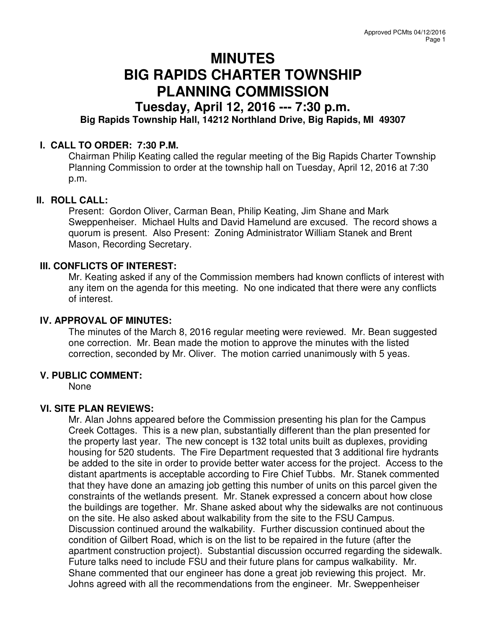# **MINUTES BIG RAPIDS CHARTER TOWNSHIP PLANNING COMMISSION**

# **Tuesday, April 12, 2016 --- 7:30 p.m.**

# **Big Rapids Township Hall, 14212 Northland Drive, Big Rapids, MI 49307**

# **I. CALL TO ORDER: 7:30 P.M.**

Chairman Philip Keating called the regular meeting of the Big Rapids Charter Township Planning Commission to order at the township hall on Tuesday, April 12, 2016 at 7:30 p.m.

#### **II. ROLL CALL:**

Present: Gordon Oliver, Carman Bean, Philip Keating, Jim Shane and Mark Sweppenheiser. Michael Hults and David Hamelund are excused. The record shows a quorum is present. Also Present: Zoning Administrator William Stanek and Brent Mason, Recording Secretary.

# **III. CONFLICTS OF INTEREST:**

Mr. Keating asked if any of the Commission members had known conflicts of interest with any item on the agenda for this meeting. No one indicated that there were any conflicts of interest.

#### **IV. APPROVAL OF MINUTES:**

The minutes of the March 8, 2016 regular meeting were reviewed. Mr. Bean suggested one correction. Mr. Bean made the motion to approve the minutes with the listed correction, seconded by Mr. Oliver. The motion carried unanimously with 5 yeas.

#### **V. PUBLIC COMMENT:**

None

#### **VI. SITE PLAN REVIEWS:**

Mr. Alan Johns appeared before the Commission presenting his plan for the Campus Creek Cottages. This is a new plan, substantially different than the plan presented for the property last year. The new concept is 132 total units built as duplexes, providing housing for 520 students. The Fire Department requested that 3 additional fire hydrants be added to the site in order to provide better water access for the project. Access to the distant apartments is acceptable according to Fire Chief Tubbs. Mr. Stanek commented that they have done an amazing job getting this number of units on this parcel given the constraints of the wetlands present. Mr. Stanek expressed a concern about how close the buildings are together. Mr. Shane asked about why the sidewalks are not continuous on the site. He also asked about walkability from the site to the FSU Campus. Discussion continued around the walkability. Further discussion continued about the condition of Gilbert Road, which is on the list to be repaired in the future (after the apartment construction project). Substantial discussion occurred regarding the sidewalk. Future talks need to include FSU and their future plans for campus walkability. Mr. Shane commented that our engineer has done a great job reviewing this project. Mr. Johns agreed with all the recommendations from the engineer. Mr. Sweppenheiser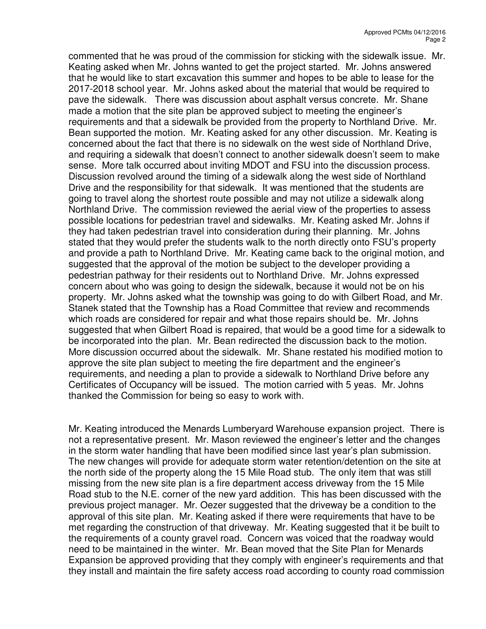commented that he was proud of the commission for sticking with the sidewalk issue. Mr. Keating asked when Mr. Johns wanted to get the project started. Mr. Johns answered that he would like to start excavation this summer and hopes to be able to lease for the 2017-2018 school year. Mr. Johns asked about the material that would be required to pave the sidewalk. There was discussion about asphalt versus concrete. Mr. Shane made a motion that the site plan be approved subject to meeting the engineer's requirements and that a sidewalk be provided from the property to Northland Drive. Mr. Bean supported the motion. Mr. Keating asked for any other discussion. Mr. Keating is concerned about the fact that there is no sidewalk on the west side of Northland Drive, and requiring a sidewalk that doesn't connect to another sidewalk doesn't seem to make sense. More talk occurred about inviting MDOT and FSU into the discussion process. Discussion revolved around the timing of a sidewalk along the west side of Northland Drive and the responsibility for that sidewalk. It was mentioned that the students are going to travel along the shortest route possible and may not utilize a sidewalk along Northland Drive. The commission reviewed the aerial view of the properties to assess possible locations for pedestrian travel and sidewalks. Mr. Keating asked Mr. Johns if they had taken pedestrian travel into consideration during their planning. Mr. Johns stated that they would prefer the students walk to the north directly onto FSU's property and provide a path to Northland Drive. Mr. Keating came back to the original motion, and suggested that the approval of the motion be subject to the developer providing a pedestrian pathway for their residents out to Northland Drive. Mr. Johns expressed concern about who was going to design the sidewalk, because it would not be on his property. Mr. Johns asked what the township was going to do with Gilbert Road, and Mr. Stanek stated that the Township has a Road Committee that review and recommends which roads are considered for repair and what those repairs should be. Mr. Johns suggested that when Gilbert Road is repaired, that would be a good time for a sidewalk to be incorporated into the plan. Mr. Bean redirected the discussion back to the motion. More discussion occurred about the sidewalk. Mr. Shane restated his modified motion to approve the site plan subject to meeting the fire department and the engineer's requirements, and needing a plan to provide a sidewalk to Northland Drive before any Certificates of Occupancy will be issued. The motion carried with 5 yeas. Mr. Johns thanked the Commission for being so easy to work with.

Mr. Keating introduced the Menards Lumberyard Warehouse expansion project. There is not a representative present. Mr. Mason reviewed the engineer's letter and the changes in the storm water handling that have been modified since last year's plan submission. The new changes will provide for adequate storm water retention/detention on the site at the north side of the property along the 15 Mile Road stub. The only item that was still missing from the new site plan is a fire department access driveway from the 15 Mile Road stub to the N.E. corner of the new yard addition. This has been discussed with the previous project manager. Mr. Oezer suggested that the driveway be a condition to the approval of this site plan. Mr. Keating asked if there were requirements that have to be met regarding the construction of that driveway. Mr. Keating suggested that it be built to the requirements of a county gravel road. Concern was voiced that the roadway would need to be maintained in the winter. Mr. Bean moved that the Site Plan for Menards Expansion be approved providing that they comply with engineer's requirements and that they install and maintain the fire safety access road according to county road commission